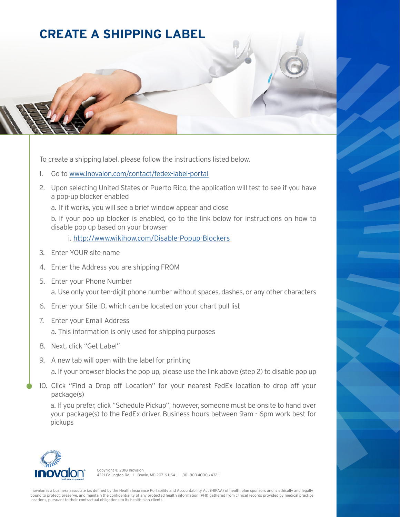## **CREATE A SHIPPING LABEL**

To create a shipping label, please follow the instructions listed below.

- 1. Go to [www.inovalon.com/contact/fedex-label-portal](https://www.inovalon.com/contact/fedex-label-portal)
- 2. Upon selecting United States or Puerto Rico, the application will test to see if you have a pop-up blocker enabled
	- a. If it works, you will see a brief window appear and close

b. If your pop up blocker is enabled, go to the link below for instructions on how to disable pop up based on your browser

i. <http://www.wikihow.com/Disable-Popup-Blockers>

- 3. Enter YOUR site name
- 4. Enter the Address you are shipping FROM
- 5. Enter your Phone Number a. Use only your ten-digit phone number without spaces, dashes, or any other characters
- 6. Enter your Site ID, which can be located on your chart pull list
- 7. Enter your Email Address
	- a. This information is only used for shipping purposes
- 8. Next, click "Get Label"
- 9. A new tab will open with the label for printing

a. If your browser blocks the pop up, please use the link above (step 2) to disable pop up

10. Click "Find a Drop off Location" for your nearest FedEx location to drop off your package(s)

a. If you prefer, click "Schedule Pickup", however, someone must be onsite to hand over your package(s) to the FedEx driver. Business hours between 9am - 6pm work best for pickups



Copyright © 2018 Inovalon 4321 Collington Rd. I Bowie, MD 20716 USA I 301.809.4000 x4321

Inovalon is a business associate (as defined by the Health Insurance Portability and Accountability Act (HIPAA) of health plan sponsors and is ethically and legally bound to protect, preserve, and maintain the confidentiality of any protected health information (PHI) gathered from clinical records provided by medical practice<br>locations, pursuant to their contractual obligations to its